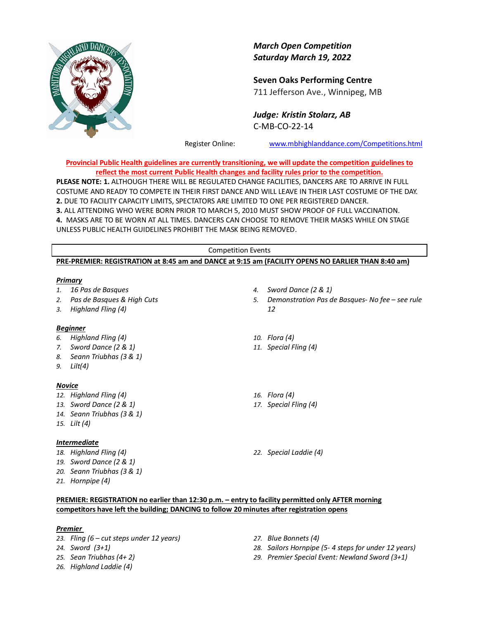

*March Open Competition Saturday March 19, 2022*

**Seven Oaks Performing Centre** 711 Jefferson Ave., Winnipeg, MB

*Judge: Kristin Stolarz, AB* C-MB-CO-22-14

Register Online: [www.mbhighlanddance.com/Competitions.html](http://www.mbhighlanddance.com/Competitions.html)

**Provincial Public Health guidelines are currently transitioning, we will update the competition guidelines to reflect the most current Public Health changes and facility rules prior to the competition.**

**PLEASE NOTE: 1.** ALTHOUGH THERE WILL BE REGULATED CHANGE FACILITIES, DANCERS ARE TO ARRIVE IN FULL COSTUME AND READY TO COMPETE IN THEIR FIRST DANCE AND WILL LEAVE IN THEIR LAST COSTUME OF THE DAY. **2.** DUE TO FACILITY CAPACITY LIMITS, SPECTATORS ARE LIMITED TO ONE PER REGISTERED DANCER. **3.** ALL ATTENDING WHO WERE BORN PRIOR TO MARCH 5, 2010 MUST SHOW PROOF OF FULL VACCINATION.

**4.** MASKS ARE TO BE WORN AT ALL TIMES. DANCERS CAN CHOOSE TO REMOVE THEIR MASKS WHILE ON STAGE UNLESS PUBLIC HEALTH GUIDELINES PROHIBIT THE MASK BEING REMOVED.

## Competition Events **PRE-PREMIER: REGISTRATION at 8:45 am and DANCE at 9:15 am (FACILITY OPENS NO EARLIER THAN 8:40 am)**

#### *Primary*

*1. 16 Pas de Basques 2. Pas de Basques & High Cuts 3. Highland Fling (4) 4. Sword Dance (2 & 1) 5. Demonstration Pas de Basques- No fee – see rule 12 Beginner 6. Highland Fling (4) 7. Sword Dance (2 & 1) 8. Seann Triubhas (3 & 1) 9. Lilt(4) 10. Flora (4) 11. Special Fling (4) Novice 12. Highland Fling (4) 13. Sword Dance (2 & 1) 14. Seann Triubhas (3 & 1) 15. Lilt (4) 16. Flora (4) 17. Special Fling (4) Intermediate 18. Highland Fling (4) 19. Sword Dance (2 & 1) 20. Seann Triubhas (3 & 1) 21. Hornpipe (4) 22. Special Laddie (4)*

# **PREMIER: REGISTRATION no earlier than 12:30 p.m. – entry to facility permitted only AFTER morning competitors have left the building; DANCING to follow 20 minutes after registration opens**

## *Premier*

- *23. Fling (6 – cut steps under 12 years)*
- *24. Sword (3+1)*
- *25. Sean Triubhas (4+ 2)*
- *26. Highland Laddie (4)*
- *27. Blue Bonnets (4)*
- *28. Sailors Hornpipe (5- 4 steps for under 12 years)*
- *29. Premier Special Event: Newland Sword (3+1)*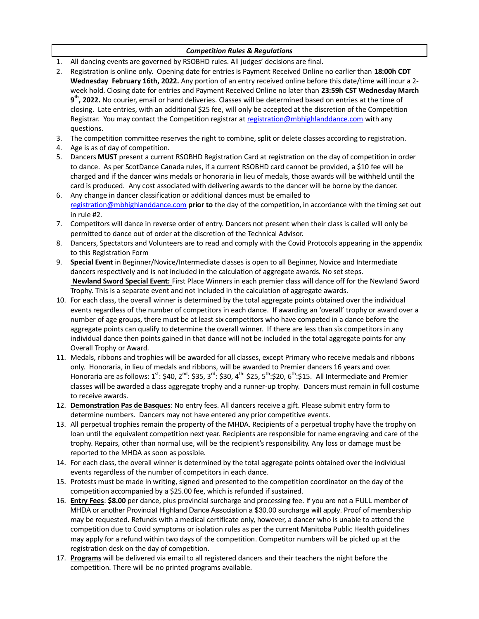# *Competition Rules & Regulations*

- 1. All dancing events are governed by RSOBHD rules. All judges' decisions are final.
- 2. Registration is online only. Opening date for entries is Payment Received Online no earlier than **18:00h CDT Wednesday February 16th, 2022.** Any portion of an entry received online before this date/time will incur a 2 week hold. Closing date for entries and Payment Received Online no later than **23:59h CST Wednesday March 9 th, 2022.** No courier, email or hand deliveries. Classes will be determined based on entries at the time of closing. Late entries, with an additional \$25 fee, will only be accepted at the discretion of the Competition Registrar. You may contact the Competition registrar at [registration@mbhighlanddance.com](mailto:registration@mbhighlanddance.com) with any questions.
- 3. The competition committee reserves the right to combine, split or delete classes according to registration.
- 4. Age is as of day of competition.
- 5. Dancers **MUST** present a current RSOBHD Registration Card at registration on the day of competition in order to dance. As per ScotDance Canada rules, if a current RSOBHD card cannot be provided, a \$10 fee will be charged and if the dancer wins medals or honoraria in lieu of medals, those awards will be withheld until the card is produced. Any cost associated with delivering awards to the dancer will be borne by the dancer.
- 6. Any change in dancer classification or additional dances must be emailed to [registration@mbhighlanddance.com](mailto:registration@mbhighlanddance.com) **prior to** the day of the competition, in accordance with the timing set out in rule #2.
- 7. Competitors will dance in reverse order of entry. Dancers not present when their class is called will only be permitted to dance out of order at the discretion of the Technical Advisor.
- 8. Dancers, Spectators and Volunteers are to read and comply with the Covid Protocols appearing in the appendix to this Registration Form
- 9. **Special Event** in Beginner/Novice/Intermediate classes is open to all Beginner, Novice and Intermediate dancers respectively and is not included in the calculation of aggregate awards. No set steps. **Newland Sword Special Event:** First Place Winners in each premier class will dance off for the Newland Sword Trophy. This is a separate event and not included in the calculation of aggregate awards.
- 10. For each class, the overall winner is determined by the total aggregate points obtained over the individual events regardless of the number of competitors in each dance. If awarding an 'overall' trophy or award over a number of age groups, there must be at least six competitors who have competed in a dance before the aggregate points can qualify to determine the overall winner. If there are less than six competitors in any individual dance then points gained in that dance will not be included in the total aggregate points for any Overall Trophy or Award.
- 11. Medals, ribbons and trophies will be awarded for all classes, except Primary who receive medals and ribbons only. Honoraria, in lieu of medals and ribbons, will be awarded to Premier dancers 16 years and over. Honoraria are as follows:  $1^{st}$ : \$40,  $2^{nd}$ : \$35,  $3^{rd}$ : \$30,  $4^{th}$ : \$25,  $5^{th}$ :\$20,  $6^{th}$ :\$15. All Intermediate and Premier classes will be awarded a class aggregate trophy and a runner-up trophy. Dancers must remain in full costume to receive awards.
- 12. **Demonstration Pas de Basques**: No entry fees. All dancers receive a gift. Please submit entry form to determine numbers. Dancers may not have entered any prior competitive events.
- 13. All perpetual trophies remain the property of the MHDA. Recipients of a perpetual trophy have the trophy on loan until the equivalent competition next year. Recipients are responsible for name engraving and care of the trophy. Repairs, other than normal use, will be the recipient's responsibility. Any loss or damage must be reported to the MHDA as soon as possible.
- 14. For each class, the overall winner is determined by the total aggregate points obtained over the individual events regardless of the number of competitors in each dance.
- 15. Protests must be made in writing, signed and presented to the competition coordinator on the day of the competition accompanied by a \$25.00 fee, which is refunded if sustained.
- 16. **Entry Fees**: **\$8.00** per dance, plus provincial surcharge and processing fee. If you are not a FULL member of MHDA or another Provincial Highland Dance Association a \$30.00 surcharge will apply. Proof of membership may be requested. Refunds with a medical certificate only, however, a dancer who is unable to attend the competition due to Covid symptoms or isolation rules as per the current Manitoba Public Health guidelines may apply for a refund within two days of the competition. Competitor numbers will be picked up at the registration desk on the day of competition.
- 17. **Programs** will be delivered via email to all registered dancers and their teachers the night before the competition. There will be no printed programs available.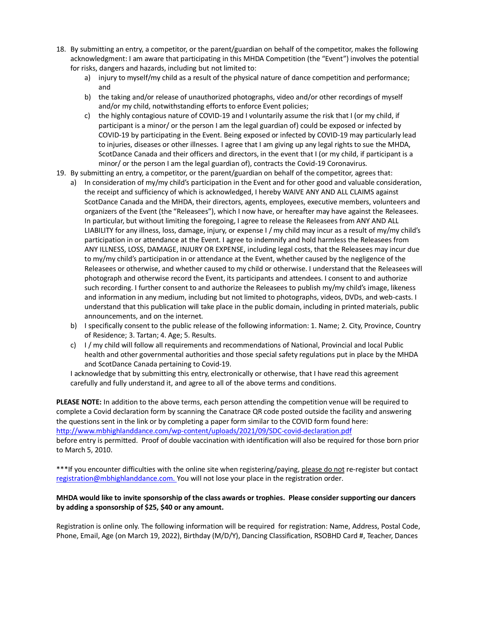- 18. By submitting an entry, a competitor, or the parent/guardian on behalf of the competitor, makes the following acknowledgment: I am aware that participating in this MHDA Competition (the "Event") involves the potential for risks, dangers and hazards, including but not limited to:
	- a) injury to myself/my child as a result of the physical nature of dance competition and performance; and
	- b) the taking and/or release of unauthorized photographs, video and/or other recordings of myself and/or my child, notwithstanding efforts to enforce Event policies;
	- c) the highly contagious nature of COVID-19 and I voluntarily assume the risk that I (or my child, if participant is a minor/ or the person I am the legal guardian of) could be exposed or infected by COVID-19 by participating in the Event. Being exposed or infected by COVID-19 may particularly lead to injuries, diseases or other illnesses. I agree that I am giving up any legal rights to sue the MHDA, ScotDance Canada and their officers and directors, in the event that I (or my child, if participant is a minor/ or the person I am the legal guardian of), contracts the Covid-19 Coronavirus.
- 19. By submitting an entry, a competitor, or the parent/guardian on behalf of the competitor, agrees that:
	- a) In consideration of my/my child's participation in the Event and for other good and valuable consideration, the receipt and sufficiency of which is acknowledged, I hereby WAIVE ANY AND ALL CLAIMS against ScotDance Canada and the MHDA, their directors, agents, employees, executive members, volunteers and organizers of the Event (the "Releasees"), which I now have, or hereafter may have against the Releasees. In particular, but without limiting the foregoing, I agree to release the Releasees from ANY AND ALL LIABILITY for any illness, loss, damage, injury, or expense I / my child may incur as a result of my/my child's participation in or attendance at the Event. I agree to indemnify and hold harmless the Releasees from ANY ILLNESS, LOSS, DAMAGE, INJURY OR EXPENSE, including legal costs, that the Releasees may incur due to my/my child's participation in or attendance at the Event, whether caused by the negligence of the Releasees or otherwise, and whether caused to my child or otherwise. I understand that the Releasees will photograph and otherwise record the Event, its participants and attendees. I consent to and authorize such recording. I further consent to and authorize the Releasees to publish my/my child's image, likeness and information in any medium, including but not limited to photographs, videos, DVDs, and web-casts. I understand that this publication will take place in the public domain, including in printed materials, public announcements, and on the internet.
	- b) I specifically consent to the public release of the following information: 1. Name; 2. City, Province, Country of Residence; 3. Tartan; 4. Age; 5. Results.
	- c) I / my child will follow all requirements and recommendations of National, Provincial and local Public health and other governmental authorities and those special safety regulations put in place by the MHDA and ScotDance Canada pertaining to Covid-19.

I acknowledge that by submitting this entry, electronically or otherwise, that I have read this agreement carefully and fully understand it, and agree to all of the above terms and conditions.

**PLEASE NOTE:** In addition to the above terms, each person attending the competition venue will be required to complete a Covid declaration form by scanning the Canatrace QR code posted outside the facility and answering the questions sent in the link or by completing a paper form similar to the COVID form found here: [http://www.mbhighlanddance.com/wp](http://www.mbhighlanddance.com/wp-content/uploads/2021/09/SDC-covid-declaration.pdf)-content/uploads/2021/09/SDC-covid-declaration.pdf

before entry is permitted. Proof of double vaccination with identification will also be required for those born prior to March 5, 2010.

\*\*\*If you encounter difficulties with the online site when registering/paying, please do not re-register but contact [registration@mbhighlanddance.com.](mailto:registration@mbhighlanddance.com) You will not lose your place in the registration order.

## **MHDA would like to invite sponsorship of the class awards or trophies. Please consider supporting our dancers by adding a sponsorship of \$25, \$40 or any amount.**

Registration is online only. The following information will be required for registration: Name, Address, Postal Code, Phone, Email, Age (on March 19, 2022), Birthday (M/D/Y), Dancing Classification, RSOBHD Card #, Teacher, Dances